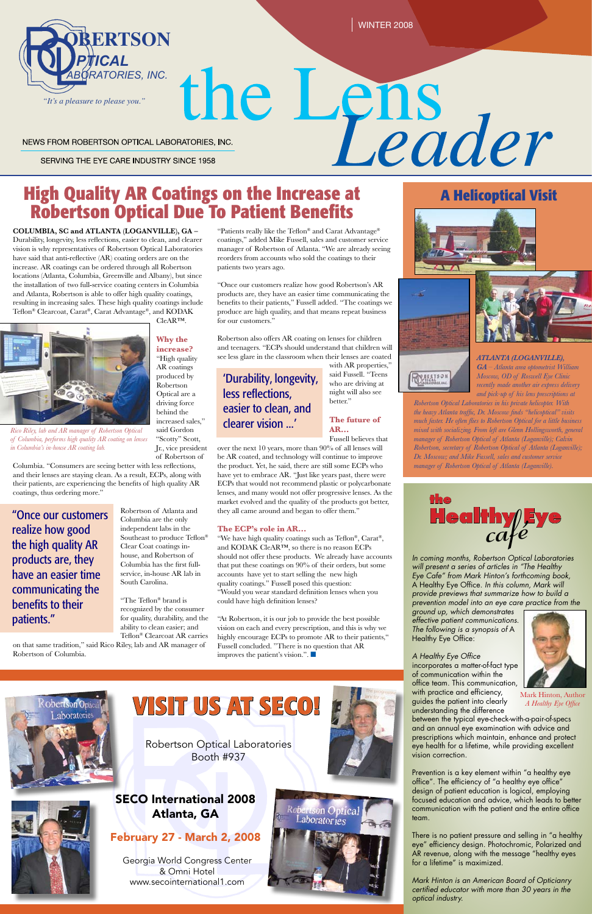

## **High Quality AR Coatings on the Increase at Robertson Optical Due To Patient Benefits**

**COLUMBIA, SC and ATLANTA (LOGANVILLE), GA –** Durability, longevity, less reflections, easier to clean, and clearer vision is why representatives of Robertson Optical Laboratories have said that anti-reflective (AR) coating orders are on the increase. AR coatings can be ordered through all Robertson locations (Atlanta, Columbia, Greenville and Albany), but since the installation of two full-service coating centers in Columbia and Atlanta, Robertson is able to offer high quality coatings, resulting in increasing sales. These high quality coatings include Teflon® Clearcoat, Carat®, Carat Advantage®, and KODAK

CleAR™.

**Why the** 

**increase?** "High quality AR coatings produced by Robertson Optical are a driving force

behind the

increased sales," said Gordon "Scotty" Scott, Jr., vice president of Robertson of

Columbia. "Consumers are seeing better with less reflections, and their lenses are staying clean. As a result, ECPs, along with their patients, are experiencing the benefits of high quality AR coatings, thus ordering more."

> Robertson of Atlanta and Columbia are the only independent labs in the Southeast to produce Teflon® Clear Coat coatings inhouse, and Robertson of Columbia has the first fullservice, in-house AR lab in South Carolina.

> > Prevention is a key element within "a healthy eye office". The efficiency of "a healthy eye office" design of patient education is logical, employing focused education and advice, which leads to better communication with the patient and the entire office team.

"The Teflon® brand is recognized by the consumer for quality, durability, and the ability to clean easier; and Teflon® Clearcoat AR carries

on that same tradition," said Rico Riley, lab and AR manager of Robertson of Columbia.



# the Lens<br>Eader NEWS FROM ROBERTSON OPTICAL LABORATORIES, INC.

SERVING THE EYE CARE INDUSTRY SINCE 1958

*In coming months, Robertson Optical Laboratories will present a series of articles in "The Healthy Eye Cafe" from Mark Hinton's forthcoming book,*  A Healthy Eye Office*. In this column, Mark will provide previews that summarize how to build a prevention model into an eye care practice from the* 

*ground up, which demonstrates effective patient communications. The following is a synopsis of* A Healthy Eye Office:

*A Healthy Eye Office* incorporates a matter-of-fact type of communication within the office team. This communication, with practice and efficiency, guides the patient into clearly



## WISIT US AT SECO! The Mark Hinton, Author guides the patient into clearly Mark Hinton, Author guides the patient into clearly *A Healthy Eye Office*

understanding the difference between the typical eye-check-with-a-pair-of-specs and an annual eye examination with advice and prescriptions which maintain, enhance and protect eye health for a lifetime, while providing excellent vision correction.

"At Robertson, it is our job to provide the best possible vision on each and every prescription, and this is why we highly encourage ECPs to promote AR to their patients," Fussell concluded. "There is no question that AR improves the patient's vision.".  $\blacksquare$ 

> There is no patient pressure and selling in "a healthy eye" efficiency design. Photochromic, Polarized and AR revenue, along with the message "healthy eyes for a lifetime" is maximized.

*Mark Hinton is an American Board of Opticianry certified educator with more than 30 years in the optical industry.*



*A Healthy Eye Office*

"Patients really like the Teflon® and Carat Advantage® coatings," added Mike Fussell, sales and customer service manager of Robertson of Atlanta. "We are already seeing reorders from accounts who sold the coatings to their patients two years ago.

"Once our customers realize how good Robertson's AR products are, they have an easier time communicating the benefits to their patients," Fussell added. "The coatings we produce are high quality, and that means repeat business for our customers."

Robertson also offers AR coating on lenses for children and teenagers. "ECPs should understand that children will see less glare in the classroom when their lenses are coated

> with AR properties," said Fussell. "Teens who are driving at night will also see better."

#### **The future of AR…**

Fussell believes that over the next 10 years, more than 90% of all lenses will be AR coated, and technology will continue to improve the product. Yet, he said, there are still some ECPs who have yet to embrace AR. "Just like years past, there were ECPs that would not recommend plastic or polycarbonate lenses, and many would not offer progressive lenses. As the market evolved and the quality of the products got better, they all came around and began to offer them."

### **The ECP's role in AR…**

"We have high quality coatings such as Teflon®, Carat®, and KODAK CleAR™, so there is no reason ECPs should not offer these products. We already have accounts that put these coatings on 90% of their orders, but some accounts have yet to start selling the new high quality coatings." Fussell posed this question: "Would you wear standard definition lenses when you could have high definition lenses?



*Rico Riley, lab and AR manager of Robertson Optical of Columbia, performs high quality AR coating on lenses in Columbia's in-house AR coating lab.*

"Once our customers realize how good the high quality AR products are, they have an easier time communicating the benefits to their patients."

## **A Helicoptical Visit**





**PEERTSON** 

# *ATLANTA (LOGANVILLE),*

*GA – Atlanta area optometrist William Moscow, OD of Roswell Eye Clinic recently made another air express delivery and pick-up of his lens prescriptions at* 

*Robertson Optical Laboratories in his private helicopter. With the heavy Atlanta traffic, Dr. Moscow finds "helicoptical" visits much faster. He often flies to Robertson Optical for a little business mixed with socializing. From left are Glenn Hollingsworth, general manager of Robertson Optical of Atlanta (Loganville); Calvin Robertson, secretary of Robertson Optical of Atlanta (Loganville); Dr. Moscow; and Mike Fussell, sales and customer service manager of Robertson Optical of Atlanta (Loganville).*

Robertson Optical Laboratories Booth #937



Georgia World Congress Center & Omni Hotel www.secointernational1.com





SECO International 2008 Atlanta, GA

February 27 - March 2, 2008

## 'Durability, longevity, less reflections, easier to clean, and clearer vision ...'